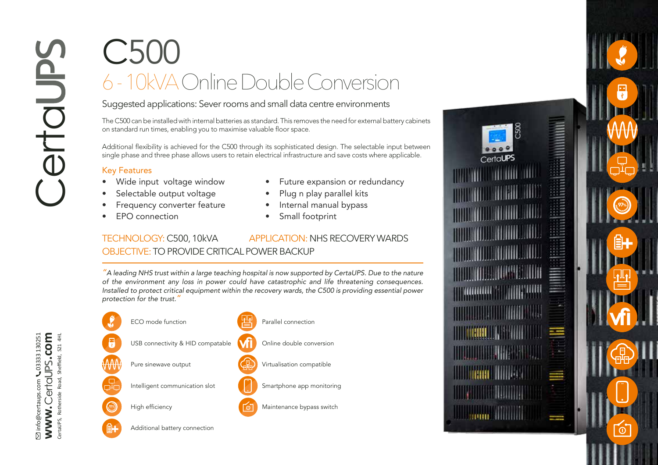## C500 6 - 10kVA Online Double Conversion

Suggested applications: Sever rooms and small data centre environments

The C500 can be installed with internal batteries as standard. This removes the need for external battery cabinets on standard run times, enabling you to maximise valuable floor space.

Additional flexibility is achieved for the C500 through its sophisticated design. The selectable input between single phase and three phase allows users to retain electrical infrastructure and save costs where applicable.

## Key Features

- Wide input voltage window
- Selectable output voltage
- Frequency converter feature
- EPO connection
- Future expansion or redundancy
- Plug n play parallel kits
- Internal manual bypass
- Small footprint

## TECHNOLOGY: C500, 10kVA APPLICATION: NHS RECOVERY WARDS OBJECTIVE: TO PROVIDE CRITICAL POWER BACKUP

*"A leading NHS trust within a large teaching hospital is now supported by CertaUPS. Due to the nature of the environment any loss in power could have catastrophic and life threatening consequences. Installed to protect critical equipment within the recovery wards, the C500 is providing essential power protection for the trust."* 





**vfi**

 $\omega$ 

97%

info@certaups.com 03333 130251 **www. .com** Certa CertaUPS, Rotherside Road, Sheffield, S21 4HL